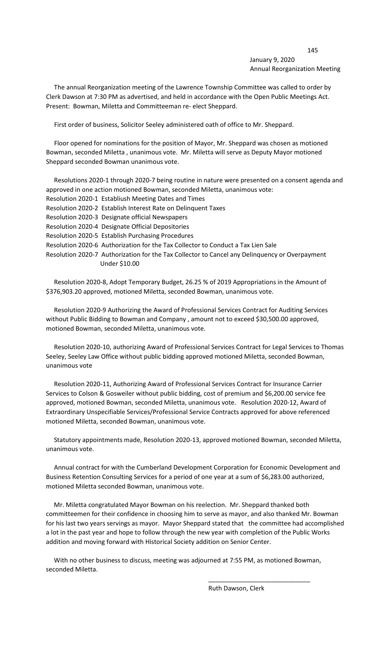## 145 January 9, 2020 Annual Reorganization Meeting

 The annual Reorganization meeting of the Lawrence Township Committee was called to order by Clerk Dawson at 7:30 PM as advertised, and held in accordance with the Open Public Meetings Act. Present: Bowman, Miletta and Committeeman re- elect Sheppard.

First order of business, Solicitor Seeley administered oath of office to Mr. Sheppard.

 Floor opened for nominations for the position of Mayor, Mr. Sheppard was chosen as motioned Bowman, seconded Miletta , unanimous vote. Mr. Miletta will serve as Deputy Mayor motioned Sheppard seconded Bowman unanimous vote.

|                                                                           | Resolutions 2020-1 through 2020-7 being routine in nature were presented on a consent agenda and |
|---------------------------------------------------------------------------|--------------------------------------------------------------------------------------------------|
| approved in one action motioned Bowman, seconded Miletta, unanimous vote: |                                                                                                  |
|                                                                           | Resolution 2020-1 Establiush Meeting Dates and Times                                             |
|                                                                           | Resolution 2020-2 Establish Interest Rate on Delinguent Taxes                                    |
|                                                                           | Resolution 2020-3 Designate official Newspapers                                                  |
|                                                                           | Resolution 2020-4 Designate Official Depositories                                                |
|                                                                           | Resolution 2020-5 Establish Purchasing Procedures                                                |
|                                                                           | Resolution 2020-6 Authorization for the Tax Collector to Conduct a Tax Lien Sale                 |
|                                                                           | Resolution 2020-7 Authorization for the Tax Collector to Cancel any Delinguency or Overpayment   |
|                                                                           | Under \$10.00                                                                                    |

 Resolution 2020-8, Adopt Temporary Budget, 26.25 % of 2019 Appropriations in the Amount of \$376,903.20 approved, motioned Miletta, seconded Bowman, unanimous vote.

 Resolution 2020-9 Authorizing the Award of Professional Services Contract for Auditing Services without Public Bidding to Bowman and Company , amount not to exceed \$30,500.00 approved, motioned Bowman, seconded Miletta, unanimous vote.

 Resolution 2020-10, authorizing Award of Professional Services Contract for Legal Services to Thomas Seeley, Seeley Law Office without public bidding approved motioned Miletta, seconded Bowman, unanimous vote

 Resolution 2020-11, Authorizing Award of Professional Services Contract for Insurance Carrier Services to Colson & Gosweiler without public bidding, cost of premium and \$6,200.00 service fee approved, motioned Bowman, seconded Miletta, unanimous vote. Resolution 2020-12, Award of Extraordinary Unspecifiable Services/Professional Service Contracts approved for above referenced motioned Miletta, seconded Bowman, unanimous vote.

 Statutory appointments made, Resolution 2020-13, approved motioned Bowman, seconded Miletta, unanimous vote.

 Annual contract for with the Cumberland Development Corporation for Economic Development and Business Retention Consulting Services for a period of one year at a sum of \$6,283.00 authorized, motioned Miletta seconded Bowman, unanimous vote.

 Mr. Miletta congratulated Mayor Bowman on his reelection. Mr. Sheppard thanked both committeemen for their confidence in choosing him to serve as mayor, and also thanked Mr. Bowman for his last two years servings as mayor. Mayor Sheppard stated that the committee had accomplished a lot in the past year and hope to follow through the new year with completion of the Public Works addition and moving forward with Historical Society addition on Senior Center.

 With no other business to discuss, meeting was adjourned at 7:55 PM, as motioned Bowman, seconded Miletta.

 $\overline{\phantom{a}}$  , and the contract of the contract of the contract of the contract of the contract of the contract of the contract of the contract of the contract of the contract of the contract of the contract of the contrac

Ruth Dawson, Clerk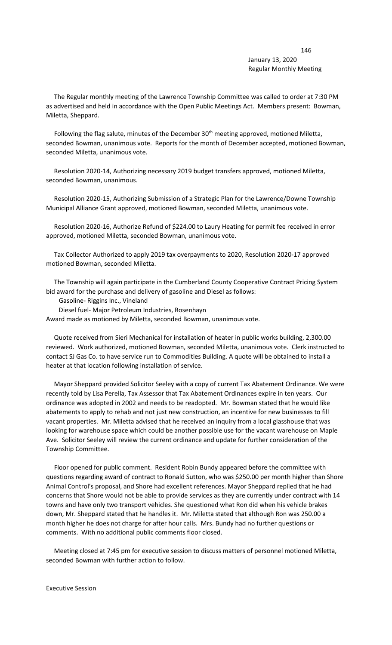## 146 January 13, 2020 Regular Monthly Meeting

 The Regular monthly meeting of the Lawrence Township Committee was called to order at 7:30 PM as advertised and held in accordance with the Open Public Meetings Act. Members present: Bowman, Miletta, Sheppard.

Following the flag salute, minutes of the December 30<sup>th</sup> meeting approved, motioned Miletta, seconded Bowman, unanimous vote. Reports for the month of December accepted, motioned Bowman, seconded Miletta, unanimous vote.

 Resolution 2020-14, Authorizing necessary 2019 budget transfers approved, motioned Miletta, seconded Bowman, unanimous.

 Resolution 2020-15, Authorizing Submission of a Strategic Plan for the Lawrence/Downe Township Municipal Alliance Grant approved, motioned Bowman, seconded Miletta, unanimous vote.

 Resolution 2020-16, Authorize Refund of \$224.00 to Laury Heating for permit fee received in error approved, motioned Miletta, seconded Bowman, unanimous vote.

 Tax Collector Authorized to apply 2019 tax overpayments to 2020, Resolution 2020-17 approved motioned Bowman, seconded Miletta.

 The Township will again participate in the Cumberland County Cooperative Contract Pricing System bid award for the purchase and delivery of gasoline and Diesel as follows:

Gasoline- Riggins Inc., Vineland

Diesel fuel- Major Petroleum Industries, Rosenhayn

Award made as motioned by Miletta, seconded Bowman, unanimous vote.

 Quote received from Sieri Mechanical for installation of heater in public works building, 2,300.00 reviewed. Work authorized, motioned Bowman, seconded Miletta, unanimous vote. Clerk instructed to contact SJ Gas Co. to have service run to Commodities Building. A quote will be obtained to install a heater at that location following installation of service.

 Mayor Sheppard provided Solicitor Seeley with a copy of current Tax Abatement Ordinance. We were recently told by Lisa Perella, Tax Assessor that Tax Abatement Ordinances expire in ten years. Our ordinance was adopted in 2002 and needs to be readopted. Mr. Bowman stated that he would like abatements to apply to rehab and not just new construction, an incentive for new businesses to fill vacant properties. Mr. Miletta advised that he received an inquiry from a local glasshouse that was looking for warehouse space which could be another possible use for the vacant warehouse on Maple Ave. Solicitor Seeley will review the current ordinance and update for further consideration of the Township Committee.

 Floor opened for public comment. Resident Robin Bundy appeared before the committee with questions regarding award of contract to Ronald Sutton, who was \$250.00 per month higher than Shore Animal Control's proposal, and Shore had excellent references. Mayor Sheppard replied that he had concerns that Shore would not be able to provide services as they are currently under contract with 14 towns and have only two transport vehicles. She questioned what Ron did when his vehicle brakes down, Mr. Sheppard stated that he handles it. Mr. Miletta stated that although Ron was 250.00 a month higher he does not charge for after hour calls. Mrs. Bundy had no further questions or comments. With no additional public comments floor closed.

 Meeting closed at 7:45 pm for executive session to discuss matters of personnel motioned Miletta, seconded Bowman with further action to follow.